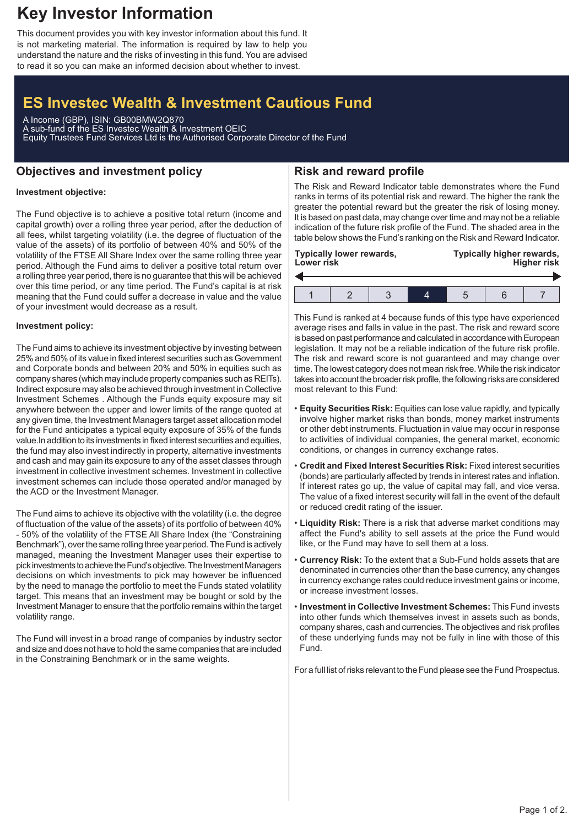## **Key Investor Information**

This document provides you with key investor information about this fund. It is not marketing material. The information is required by law to help you understand the nature and the risks of investing in this fund. You are advised to read it so you can make an informed decision about whether to invest.

# **ES Investec Wealth & Investment Cautious Fund**

A Income (GBP), ISIN: GB00BMW2Q870 A sub-fund of the ES Investec Wealth & Investment OEIC Equity Trustees Fund Services Ltd is the Authorised Corporate Director of the Fund

### **Objectives and investment policy**

## **Risk and reward profile**

#### **Investment objective:**

The Fund objective is to achieve a positive total return (income and capital growth) over a rolling three year period, after the deduction of all fees, whilst targeting volatility (i.e. the degree of fluctuation of the value of the assets) of its portfolio of between 40% and 50% of the volatility of the FTSE All Share Index over the same rolling three year period. Although the Fund aims to deliver a positive total return over a rolling three year period, there is no guarantee that this will be achieved over this time period, or any time period. The Fund's capital is at risk meaning that the Fund could suffer a decrease in value and the value of your investment would decrease as a result.

#### **Investment policy:**

The Fund aims to achieve its investment objective by investing between 25% and 50% of its value in fixed interest securities such as Government and Corporate bonds and between 20% and 50% in equities such as company shares (which may include property companies such as REITs). Indirect exposure may also be achieved through investment in Collective Investment Schemes . Although the Funds equity exposure may sit anywhere between the upper and lower limits of the range quoted at any given time, the Investment Managers target asset allocation model for the Fund anticipates a typical equity exposure of 35% of the funds value.In addition to its investments in fixed interest securities and equities, the fund may also invest indirectly in property, alternative investments and cash and may gain its exposure to any of the asset classes through investment in collective investment schemes. Investment in collective investment schemes can include those operated and/or managed by the ACD or the Investment Manager.

The Fund aims to achieve its objective with the volatility (i.e. the degree of fluctuation of the value of the assets) of its portfolio of between 40% - 50% of the volatility of the FTSE All Share Index (the "Constraining Benchmark"), over the same rolling three year period. The Fund is actively managed, meaning the Investment Manager uses their expertise to pick investments to achieve the Fund's objective. The Investment Managers decisions on which investments to pick may however be influenced by the need to manage the portfolio to meet the Funds stated volatility target. This means that an investment may be bought or sold by the Investment Manager to ensure that the portfolio remains within the target volatility range.

The Fund will invest in a broad range of companies by industry sector and size and does not have to hold the same companies that are included in the Constraining Benchmark or in the same weights.

The Risk and Reward Indicator table demonstrates where the Fund ranks in terms of its potential risk and reward. The higher the rank the greater the potential reward but the greater the risk of losing money. It is based on past data, may change over time and may not be a reliable indication of the future risk profile of the Fund. The shaded area in the table below shows the Fund's ranking on the Risk and Reward Indicator.

| <b>Typically lower rewards,</b><br>Lower risk |  |  |  | Typically higher rewards,<br><b>Higher risk</b> |  |  |
|-----------------------------------------------|--|--|--|-------------------------------------------------|--|--|
|                                               |  |  |  |                                                 |  |  |
|                                               |  |  |  |                                                 |  |  |

This Fund is ranked at 4 because funds of this type have experienced average rises and falls in value in the past. The risk and reward score is based on past performance and calculated in accordance with European legislation. It may not be a reliable indication of the future risk profile. The risk and reward score is not guaranteed and may change over time. The lowest category does not mean risk free.While the risk indicator takes into account the broader risk profile, the following risks are considered most relevant to this Fund:

- **Equity Securities Risk:** Equities can lose value rapidly, and typically involve higher market risks than bonds, money market instruments or other debt instruments. Fluctuation in value may occur in response to activities of individual companies, the general market, economic conditions, or changes in currency exchange rates.
- **Credit and Fixed Interest Securities Risk:** Fixed interest securities (bonds) are particularly affected by trends in interest rates and inflation. If interest rates go up, the value of capital may fall, and vice versa. The value of a fixed interest security will fall in the event of the default or reduced credit rating of the issuer.
- **Liquidity Risk:** There is a risk that adverse market conditions may affect the Fund's ability to sell assets at the price the Fund would like, or the Fund may have to sell them at a loss.
- **Currency Risk:** To the extent that a Sub-Fund holds assets that are denominated in currencies other than the base currency, any changes in currency exchange rates could reduce investment gains or income, or increase investment losses.
- **Investment in Collective Investment Schemes:** This Fund invests into other funds which themselves invest in assets such as bonds, company shares, cash and currencies. The objectives and risk profiles of these underlying funds may not be fully in line with those of this Fund.

For a full list of risks relevant to the Fund please see the Fund Prospectus.